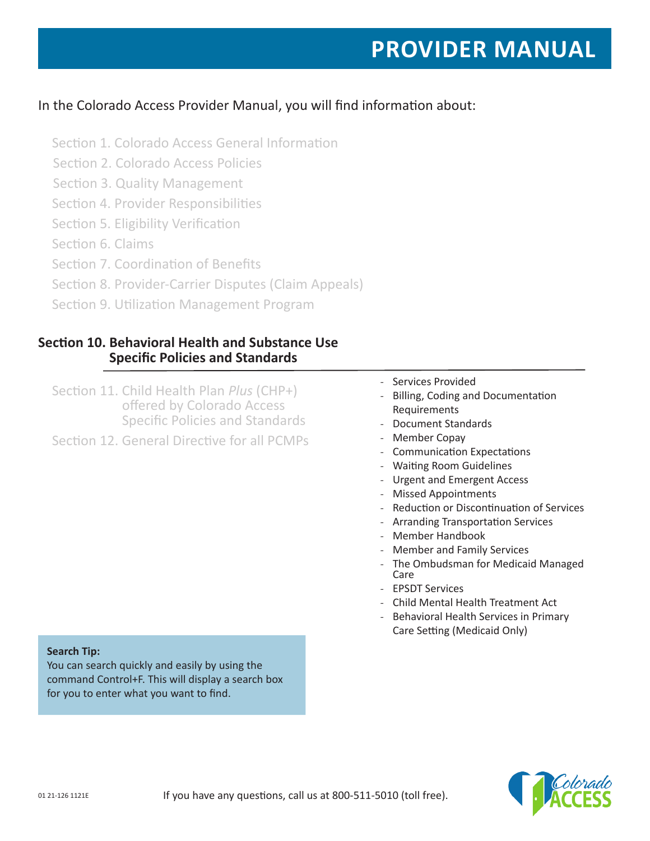# In the Colorado Access Provider Manual, you will find information about:

- Section 1. Colorado Access General Information
- Section 2. Colorado Access Policies
- Section 3. Quality Management
- Section 4. Provider Responsibilities
- Section 5. Eligibility Verification
- Section 6. Claims
- Section 7. Coordination of Benefits
- Section 8. Provider-Carrier Disputes (Claim Appeals)
- Section 9. Utilization Management Program

# **Section 10. Behavioral Health and Substance Use Specific Policies and Standards**

Section 11. Child Health Plan *Plus* (CHP+) offered by Colorado Access Specific Policies and Standards Section 12. General Directive for all PCMPs

- Services Provided
- Billing, Coding and Documentation Requirements
- Document Standards
- Member Copay
- Communication Expectations
- Waiting Room Guidelines
- Urgent and Emergent Access
- Missed Appointments
- Reduction or Discontinuation of Services
- Arranding Transportation Services
- Member Handbook
- Member and Family Services
- The Ombudsman for Medicaid Managed Care
- EPSDT Services
- Child Mental Health Treatment Act
- Behavioral Health Services in Primary Care Setting (Medicaid Only)

#### **Search Tip:**

You can search quickly and easily by using the command Control+F. This will display a search box for you to enter what you want to find.

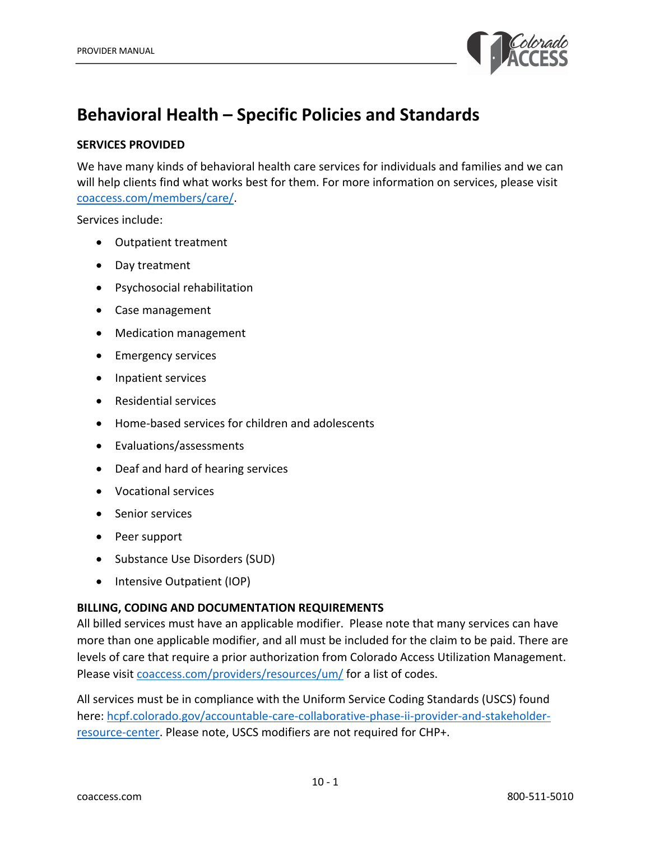

# **Behavioral Health – Specific Policies and Standards**

# **SERVICES PROVIDED**

We have many kinds of behavioral health care services for individuals and families and we can will help clients find what works best for them. For more information on services, please visit coaccess.com/members/care/.

Services include:

- Outpatient treatment
- Day treatment
- Psychosocial rehabilitation
- Case management
- Medication management
- Emergency services
- Inpatient services
- Residential services
- Home-based services for children and adolescents
- Evaluations/assessments
- Deaf and hard of hearing services
- Vocational services
- Senior services
- Peer support
- Substance Use Disorders (SUD)
- Intensive Outpatient (IOP)

# **BILLING, CODING AND DOCUMENTATION REQUIREMENTS**

All billed services must have an applicable modifier. Please note that many services can have more than one applicable modifier, and all must be included for the claim to be paid. There are levels of care that require a prior authorization from Colorado Access Utilization Management. Please visit coaccess.com/providers/resources/um/ for a list of codes.

All services must be in compliance with the Uniform Service Coding Standards (USCS) found here: hcpf.colorado.gov/accountable-care-collaborative-phase-ii-provider-and-stakeholderresource-center. Please note, USCS modifiers are not required for CHP+.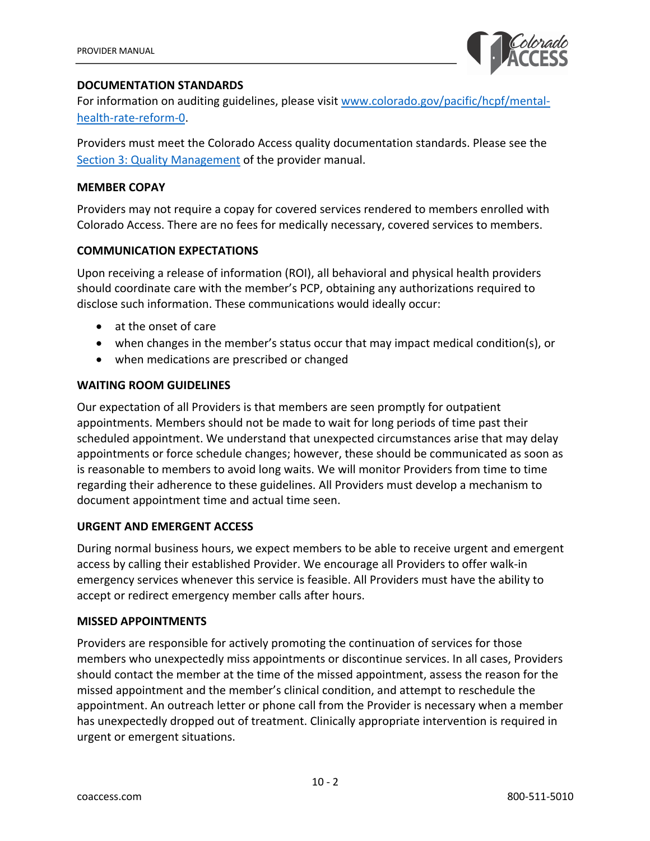

# **DOCUMENTATION STANDARDS**

For information on auditing guidelines, please visit www.colorado.gov/pacific/hcpf/mentalhealth-rate-reform-0.

Providers must meet the Colorado Access quality documentation standards. Please see the Section 3: Quality Management of the provider manual.

# **MEMBER COPAY**

Providers may not require a copay for covered services rendered to members enrolled with Colorado Access. There are no fees for medically necessary, covered services to members.

# **COMMUNICATION EXPECTATIONS**

Upon receiving a release of information (ROI), all behavioral and physical health providers should coordinate care with the member's PCP, obtaining any authorizations required to disclose such information. These communications would ideally occur:

- at the onset of care
- when changes in the member's status occur that may impact medical condition(s), or
- when medications are prescribed or changed

# **WAITING ROOM GUIDELINES**

Our expectation of all Providers is that members are seen promptly for outpatient appointments. Members should not be made to wait for long periods of time past their scheduled appointment. We understand that unexpected circumstances arise that may delay appointments or force schedule changes; however, these should be communicated as soon as is reasonable to members to avoid long waits. We will monitor Providers from time to time regarding their adherence to these guidelines. All Providers must develop a mechanism to document appointment time and actual time seen.

#### **URGENT AND EMERGENT ACCESS**

During normal business hours, we expect members to be able to receive urgent and emergent access by calling their established Provider. We encourage all Providers to offer walk-in emergency services whenever this service is feasible. All Providers must have the ability to accept or redirect emergency member calls after hours.

#### **MISSED APPOINTMENTS**

Providers are responsible for actively promoting the continuation of services for those members who unexpectedly miss appointments or discontinue services. In all cases, Providers should contact the member at the time of the missed appointment, assess the reason for the missed appointment and the member's clinical condition, and attempt to reschedule the appointment. An outreach letter or phone call from the Provider is necessary when a member has unexpectedly dropped out of treatment. Clinically appropriate intervention is required in urgent or emergent situations.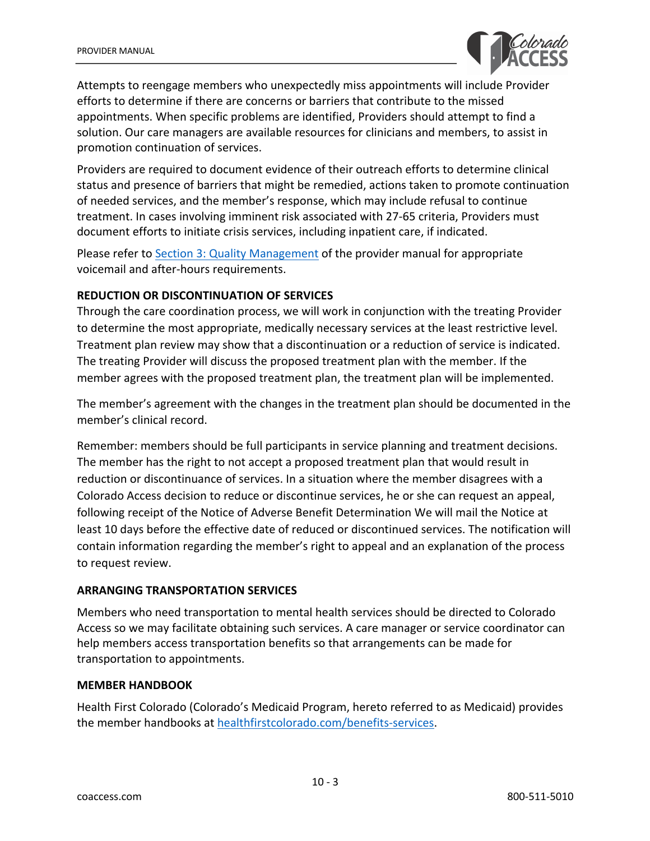

Attempts to reengage members who unexpectedly miss appointments will include Provider efforts to determine if there are concerns or barriers that contribute to the missed appointments. When specific problems are identified, Providers should attempt to find a solution. Our care managers are available resources for clinicians and members, to assist in promotion continuation of services.

Providers are required to document evidence of their outreach efforts to determine clinical status and presence of barriers that might be remedied, actions taken to promote continuation of needed services, and the member's response, which may include refusal to continue treatment. In cases involving imminent risk associated with 27-65 criteria, Providers must document efforts to initiate crisis services, including inpatient care, if indicated.

Please refer to Section 3: Quality Management of the provider manual for appropriate voicemail and after-hours requirements.

#### **REDUCTION OR DISCONTINUATION OF SERVICES**

Through the care coordination process, we will work in conjunction with the treating Provider to determine the most appropriate, medically necessary services at the least restrictive level. Treatment plan review may show that a discontinuation or a reduction of service is indicated. The treating Provider will discuss the proposed treatment plan with the member. If the member agrees with the proposed treatment plan, the treatment plan will be implemented.

The member's agreement with the changes in the treatment plan should be documented in the member's clinical record.

Remember: members should be full participants in service planning and treatment decisions. The member has the right to not accept a proposed treatment plan that would result in reduction or discontinuance of services. In a situation where the member disagrees with a Colorado Access decision to reduce or discontinue services, he or she can request an appeal, following receipt of the Notice of Adverse Benefit Determination We will mail the Notice at least 10 days before the effective date of reduced or discontinued services. The notification will contain information regarding the member's right to appeal and an explanation of the process to request review.

# **ARRANGING TRANSPORTATION SERVICES**

Members who need transportation to mental health services should be directed to Colorado Access so we may facilitate obtaining such services. A care manager or service coordinator can help members access transportation benefits so that arrangements can be made for transportation to appointments.

#### **MEMBER HANDBOOK**

Health First Colorado (Colorado's Medicaid Program, hereto referred to as Medicaid) provides the member handbooks at healthfirstcolorado.com/benefits-services.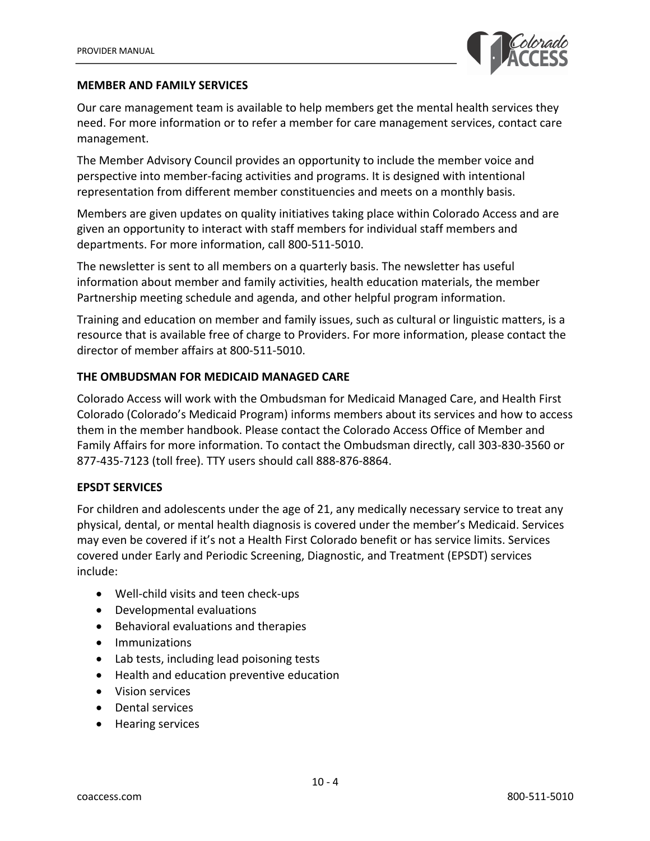

#### **MEMBER AND FAMILY SERVICES**

Our care management team is available to help members get the mental health services they need. For more information or to refer a member for care management services, contact care management.

The Member Advisory Council provides an opportunity to include the member voice and perspective into member-facing activities and programs. It is designed with intentional representation from different member constituencies and meets on a monthly basis.

Members are given updates on quality initiatives taking place within Colorado Access and are given an opportunity to interact with staff members for individual staff members and departments. For more information, call 800-511-5010.

The newsletter is sent to all members on a quarterly basis. The newsletter has useful information about member and family activities, health education materials, the member Partnership meeting schedule and agenda, and other helpful program information.

Training and education on member and family issues, such as cultural or linguistic matters, is a resource that is available free of charge to Providers. For more information, please contact the director of member affairs at 800-511-5010.

# **THE OMBUDSMAN FOR MEDICAID MANAGED CARE**

Colorado Access will work with the Ombudsman for Medicaid Managed Care, and Health First Colorado (Colorado's Medicaid Program) informs members about its services and how to access them in the member handbook. Please contact the Colorado Access Office of Member and Family Affairs for more information. To contact the Ombudsman directly, call 303-830-3560 or 877-435-7123 (toll free). TTY users should call 888-876-8864.

# **EPSDT SERVICES**

For children and adolescents under the age of 21, any medically necessary service to treat any physical, dental, or mental health diagnosis is covered under the member's Medicaid. Services may even be covered if it's not a Health First Colorado benefit or has service limits. Services covered under Early and Periodic Screening, Diagnostic, and Treatment (EPSDT) services include:

- Well-child visits and teen check-ups
- Developmental evaluations
- Behavioral evaluations and therapies
- Immunizations
- Lab tests, including lead poisoning tests
- Health and education preventive education
- Vision services
- Dental services
- Hearing services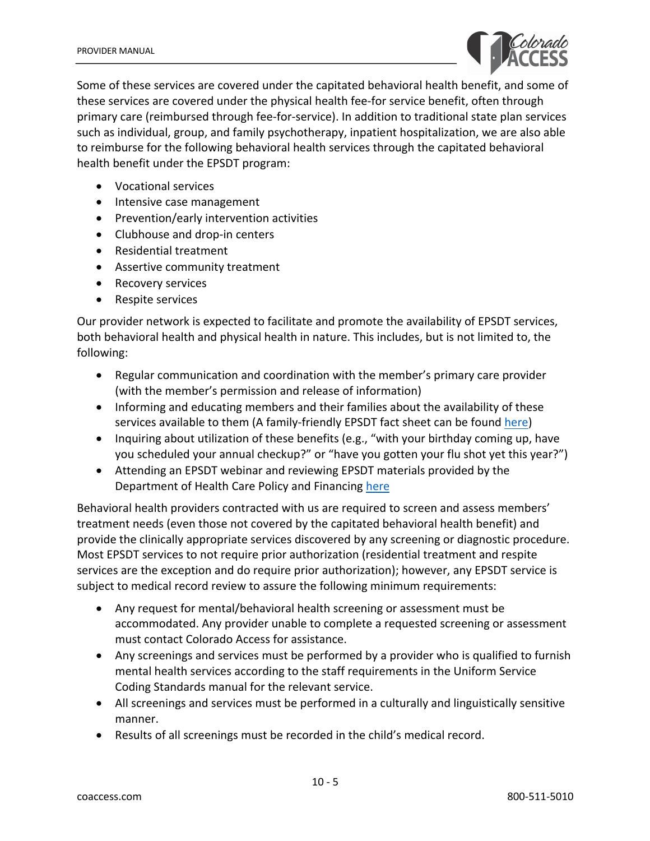

Some of these services are covered under the capitated behavioral health benefit, and some of these services are covered under the physical health fee-for service benefit, often through primary care (reimbursed through fee-for-service). In addition to traditional state plan services such as individual, group, and family psychotherapy, inpatient hospitalization, we are also able to reimburse for the following behavioral health services through the capitated behavioral health benefit under the EPSDT program:

- Vocational services
- Intensive case management
- Prevention/early intervention activities
- Clubhouse and drop-in centers
- Residential treatment
- Assertive community treatment
- Recovery services
- Respite services

Our provider network is expected to facilitate and promote the availability of EPSDT services, both behavioral health and physical health in nature. This includes, but is not limited to, the following:

- Regular communication and coordination with the member's primary care provider (with the member's permission and release of information)
- Informing and educating members and their families about the availability of these services available to them (A family-friendly EPSDT fact sheet can be found here)
- Inquiring about utilization of these benefits (e.g., "with your birthday coming up, have you scheduled your annual checkup?" or "have you gotten your flu shot yet this year?")
- Attending an EPSDT webinar and reviewing EPSDT materials provided by the Department of Health Care Policy and Financing here

Behavioral health providers contracted with us are required to screen and assess members' treatment needs (even those not covered by the capitated behavioral health benefit) and provide the clinically appropriate services discovered by any screening or diagnostic procedure. Most EPSDT services to not require prior authorization (residential treatment and respite services are the exception and do require prior authorization); however, any EPSDT service is subject to medical record review to assure the following minimum requirements:

- Any request for mental/behavioral health screening or assessment must be accommodated. Any provider unable to complete a requested screening or assessment must contact Colorado Access for assistance.
- Any screenings and services must be performed by a provider who is qualified to furnish mental health services according to the staff requirements in the Uniform Service Coding Standards manual for the relevant service.
- All screenings and services must be performed in a culturally and linguistically sensitive manner.
- Results of all screenings must be recorded in the child's medical record.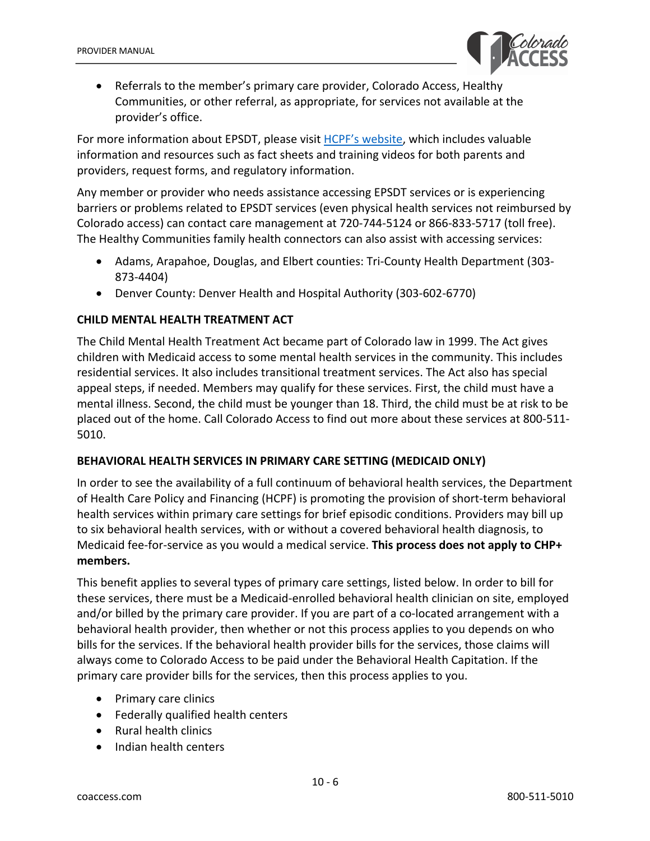

• Referrals to the member's primary care provider, Colorado Access, Healthy Communities, or other referral, as appropriate, for services not available at the provider's office.

For more information about EPSDT, please visit HCPF's website, which includes valuable information and resources such as fact sheets and training videos for both parents and providers, request forms, and regulatory information.

Any member or provider who needs assistance accessing EPSDT services or is experiencing barriers or problems related to EPSDT services (even physical health services not reimbursed by Colorado access) can contact care management at 720-744-5124 or 866-833-5717 (toll free). The Healthy Communities family health connectors can also assist with accessing services:

- Adams, Arapahoe, Douglas, and Elbert counties: Tri-County Health Department (303- 873-4404)
- Denver County: Denver Health and Hospital Authority (303-602-6770)

# **CHILD MENTAL HEALTH TREATMENT ACT**

The Child Mental Health Treatment Act became part of Colorado law in 1999. The Act gives children with Medicaid access to some mental health services in the community. This includes residential services. It also includes transitional treatment services. The Act also has special appeal steps, if needed. Members may qualify for these services. First, the child must have a mental illness. Second, the child must be younger than 18. Third, the child must be at risk to be placed out of the home. Call Colorado Access to find out more about these services at 800-511- 5010.

# **BEHAVIORAL HEALTH SERVICES IN PRIMARY CARE SETTING (MEDICAID ONLY)**

In order to see the availability of a full continuum of behavioral health services, the Department of Health Care Policy and Financing (HCPF) is promoting the provision of short-term behavioral health services within primary care settings for brief episodic conditions. Providers may bill up to six behavioral health services, with or without a covered behavioral health diagnosis, to Medicaid fee-for-service as you would a medical service. **This process does not apply to CHP+ members.**

This benefit applies to several types of primary care settings, listed below. In order to bill for these services, there must be a Medicaid-enrolled behavioral health clinician on site, employed and/or billed by the primary care provider. If you are part of a co-located arrangement with a behavioral health provider, then whether or not this process applies to you depends on who bills for the services. If the behavioral health provider bills for the services, those claims will always come to Colorado Access to be paid under the Behavioral Health Capitation. If the primary care provider bills for the services, then this process applies to you.

- Primary care clinics
- Federally qualified health centers
- Rural health clinics
- Indian health centers